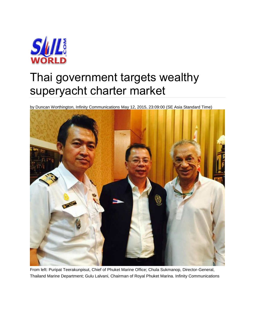

## Thai government targets wealthy superyacht charter market

by Duncan Worthington, Infinity Communications May 12, 2015, 23:09:00 (SE Asia Standard Time)



From left: Puripat Teerakunpisut, Chief of Phuket Marine Office; Chula Sukmanop, Director-General, Thailand Marine Department; Gulu Lalvani, Chairman of Royal Phuket Marina. Infinity Communications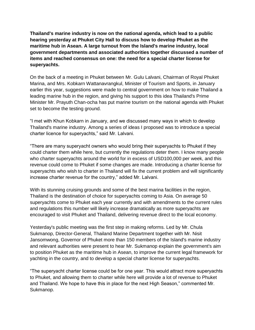**Thailand's marine industry is now on the national agenda, which lead to a public hearing yesterday at Phuket City Hall to discuss how to develop Phuket as the maritime hub in Asean. A large turnout from the Island's marine industry, local government departments and associated authorities together discussed a number of items and reached consensus on one: the need for a special charter license for superyachts.**

On the back of a meeting in Phuket between Mr. Gulu Lalvani, Chairman of Royal Phuket Marina, and Mrs. Kobkarn Wattanavrangkul, Minister of Tourism and Sports, in January earlier this year, suggestions were made to central government on how to make Thailand a leading marine hub in the region, and giving his support to this idea Thailand's Prime Minister Mr. Prayuth Chan-ocha has put marine tourism on the national agenda with Phuket set to become the testing ground.

"I met with Khun Kobkarn in January, and we discussed many ways in which to develop Thailand's marine industry. Among a series of ideas I proposed was to introduce a special charter licence for superyachts," said Mr. Lalvani.

"There are many superyacht owners who would bring their superyachts to Phuket if they could charter them while here, but currently the regulations deter them. I know many people who charter superyachts around the world for in excess of USD100,000 per week, and this revenue could come to Phuket if some changes are made. Introducing a charter license for superyachts who wish to charter in Thailand will fix the current problem and will significantly increase charter revenue for the country," added Mr. Lalvani.

With its stunning cruising grounds and some of the best marina facilities in the region, Thailand is the destination of choice for superyachts coming to Asia. On average 50 superyachts come to Phuket each year currently and with amendments to the current rules and regulations this number will likely increase dramatically as more superyachts are encouraged to visit Phuket and Thailand, delivering revenue direct to the local economy.

Yesterday's public meeting was the first step in making reforms. Led by Mr. Chula Sukmanop, Director-General, Thailand Marine Department together with Mr. Nisit Jansomwong, Governor of Phuket more than 150 members of the Island's marine industry and relevant authorities were present to hear Mr. Sukmanop explain the government's aim to position Phuket as the maritime hub in Asean, to improve the current legal framework for yachting in the country, and to develop a special charter license for superyachts.

"The superyacht charter license could be for one year. This would attract more superyachts to Phuket, and allowing them to charter while here will provide a lot of revenue to Phuket and Thailand. We hope to have this in place for the next High Season," commented Mr. Sukmanop.